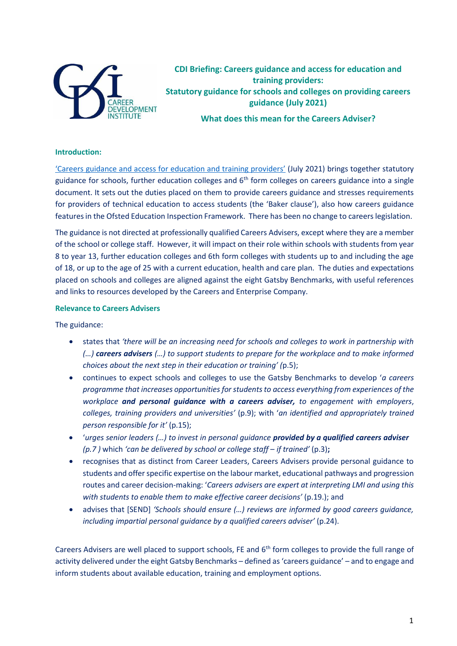

**CDI Briefing: Careers guidance and access for education and training providers: Statutory guidance for schools and colleges on providing careers guidance (July 2021)**

**What does this mean for the Careers Adviser?**

## **Introduction:**

['Careers guidance and access for education and training providers'](https://assets.publishing.service.gov.uk/government/uploads/system/uploads/attachment_data/file/1002972/Careers_statutory_guidance.pdf) (July 2021) brings together statutory guidance for schools, further education colleges and 6<sup>th</sup> form colleges on careers guidance into a single document. It sets out the duties placed on them to provide careers guidance and stresses requirements for providers of technical education to access students (the 'Baker clause'), also how careers guidance features in the Ofsted Education Inspection Framework. There has been no change to careers legislation.

The guidance is not directed at professionally qualified Careers Advisers, except where they are a member of the school or college staff. However, it will impact on their role within schools with students from year 8 to year 13, further education colleges and 6th form colleges with students up to and including the age of 18, or up to the age of 25 with a current education, health and care plan. The duties and expectations placed on schools and colleges are aligned against the eight Gatsby Benchmarks, with useful references and links to resources developed by the Careers and Enterprise Company.

## **Relevance to Careers Advisers**

The guidance:

- states that *'there will be an increasing need for schools and colleges to work in partnership with (…) careers advisers (…) to support students to prepare for the workplace and to make informed choices about the next step in their education or training' (*p.5);
- continues to expect schools and colleges to use the Gatsby Benchmarks to develop '*a careers programme that increases opportunities forstudentsto access everything from experiences of the workplace and personal guidance with a careers adviser, to engagement with employers*, *colleges, training providers and universities'* (p.9); with '*an identified and appropriately trained person responsible for it'* (p.15);
- '*urges senior leaders (…) to invest in personal guidance provided by a qualified careers adviser (p.7 )* which *'can be delivered by school or college staff* – *if trained'* (p.3)**;**
- recognises that as distinct from Career Leaders, Careers Advisers provide personal guidance to students and offer specific expertise on the labour market, educational pathways and progression routes and career decision-making: '*Careers advisers are expert at interpreting LMI and using this with students to enable them to make effective career decisions'* (p.19.); and
- advises that [SEND] *'Schools should ensure (…) reviews are informed by good careers guidance, including impartial personal guidance by a qualified careers adviser'* (p.24).

Careers Advisers are well placed to support schools, FE and 6<sup>th</sup> form colleges to provide the full range of activity delivered under the eight Gatsby Benchmarks – defined as 'careers guidance' – and to engage and inform students about available education, training and employment options.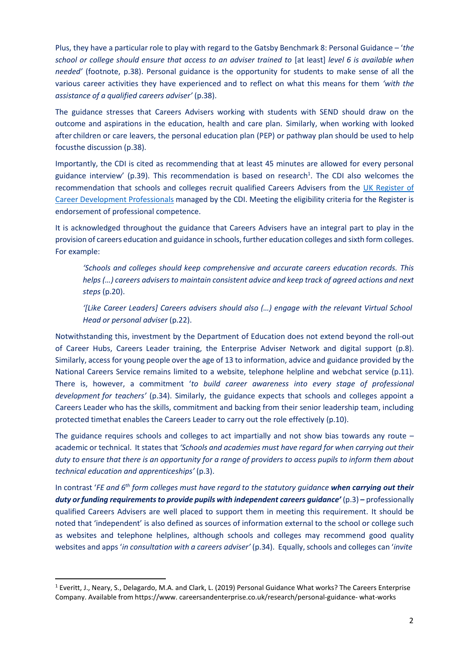Plus, they have a particular role to play with regard to the Gatsby Benchmark 8: Personal Guidance – '*the school or college should ensure that access to an adviser trained to* [at least] *level 6 is available when needed'* (footnote, p.38). Personal guidance is the opportunity for students to make sense of all the various career activities they have experienced and to reflect on what this means for them *'with the assistance of a qualified careers adviser'* (p.38).

The guidance stresses that Careers Advisers working with students with SEND should draw on the outcome and aspirations in the education, health and care plan. Similarly, when working with looked after children or care leavers, the personal education plan (PEP) or pathway plan should be used to help focusthe discussion (p.38).

Importantly, the CDI is cited as recommending that at least 45 minutes are allowed for every personal guidance interview' (p.39). This recommendation is based on research $^1$ . The CDI also welcomes the recommendation that schools and colleges recruit qualified Careers Advisers from the [UK Register of](https://www.thecdi.net/Professional-Register-) [Career Development Professionals](https://www.thecdi.net/Professional-Register-) managed by the CDI. Meeting the eligibility criteria for the Register is endorsement of professional competence.

It is acknowledged throughout the guidance that Careers Advisers have an integral part to play in the provision of careers education and guidance in schools, further education colleges and sixth form colleges. For example:

*'Schools and colleges should keep comprehensive and accurate careers education records. This helps (…) careers advisersto maintain consistent advice and keep track of agreed actions and next steps* (p.20).

*'[Like Career Leaders] Careers advisers should also (…) engage with the relevant Virtual School Head or personal adviser* (p.22).

Notwithstanding this, investment by the Department of Education does not extend beyond the roll-out of Career Hubs, Careers Leader training, the Enterprise Adviser Network and digital support (p.8). Similarly, access for young people over the age of 13 to information, advice and guidance provided by the National Careers Service remains limited to a website, telephone helpline and webchat service (p.11). There is, however, a commitment '*to build career awareness into every stage of professional development for teachers'* (p.34). Similarly, the guidance expects that schools and colleges appoint a Careers Leader who has the skills, commitment and backing from their senior leadership team, including protected timethat enables the Careers Leader to carry out the role effectively (p.10).

The guidance requires schools and colleges to act impartially and not show bias towards any route – academic or technical. It states that *'Schools and academies must have regard for when carrying out their duty to ensure that there is an opportunity for a range of providers to access pupils to inform them about technical education and apprenticeships'* (p.3).

In contrast '*FE and 6th form colleges must have regard to the statutory guidance when carrying out their duty or funding requirementsto provide pupils with independent careers guidance'* (p.3) *–* professionally qualified Careers Advisers are well placed to support them in meeting this requirement. It should be noted that 'independent' is also defined as sources of information external to the school or college such as websites and telephone helplines, although schools and colleges may recommend good quality websites and apps '*in consultation with a careers adviser'* (p.34). Equally, schools and colleges can '*invite*

<sup>1</sup> Everitt, J., Neary, S., Delagardo, M.A. and Clark, L. (2019) Personal Guidance What works? The Careers Enterprise Company. Available from https:[//www.](http://www/) careersandenterprise.co.uk/research/personal-guidance- what-works